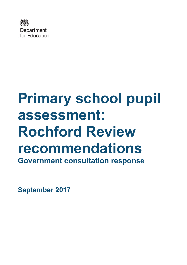

# **Primary school pupil assessment: Rochford Review recommendations Government consultation response**

**September 2017**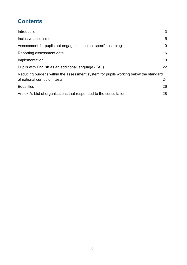# **Contents**

| Introduction                                                                        | 3  |
|-------------------------------------------------------------------------------------|----|
| Inclusive assessment                                                                | 5  |
| Assessment for pupils not engaged in subject-specific learning                      | 10 |
| Reporting assessment data                                                           | 16 |
| Implementation                                                                      | 19 |
| Pupils with English as an additional language (EAL)                                 | 22 |
| Reducing burdens within the assessment system for pupils working below the standard |    |
| of national curriculum tests                                                        | 24 |
| <b>Equalities</b>                                                                   | 26 |
| Annex A: List of organisations that responded to the consultation                   | 28 |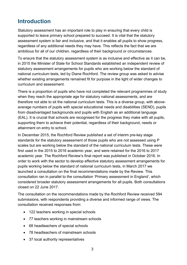# <span id="page-2-0"></span>**Introduction**

Statutory assessment has an important role to play in ensuring that every child is supported to leave primary school prepared to succeed. It is vital that the statutory assessment system is fair and inclusive, and that it enables all pupils to show progress, regardless of any additional needs they may have. This reflects the fact that we are ambitious for all of our children, regardless of their background or circumstances.

To ensure that the statutory assessment system is as inclusive and effective as it can be, in 2015 the Minister of State for School Standards established an independent review of statutory assessment arrangements for pupils who are working below the standard of national curriculum tests, led by Diane Rochford. The review group was asked to advise whether existing arrangements remained fit for purpose in the light of wider changes to curriculum and assessment.

There is a proportion of pupils who have not completed the relevant programmes of study when they reach the appropriate age for statutory national assessments, and are therefore not able to sit the national curriculum tests. This is a diverse group, with aboveaverage numbers of pupils with special educational needs and disabilities (SEND), pupils from disadvantaged backgrounds and pupils with English as an additional language (EAL). It is crucial that schools are recognised for the progress they make with all pupils, supporting them to achieve their potential, regardless of their background, needs or attainment on entry to school.

In December 2015, the Rochford Review published a set of interim pre-key stage standards for the statutory assessment of those pupils who are not assessed using P scales but are working below the standard of the national curriculum tests. These were first used in the 2015 to 2016 academic year, and were retained for the 2016 to 2017 academic year. The Rochford Review's final report was published in October 2016. In order to work with the sector to develop effective statutory assessment arrangements for pupils working below the standard of national curriculum tests, in March 2017 we launched a consultation on the final recommendations made by the Review. This consultation ran in parallel to the consultation 'Primary assessment in England', which considered broader statutory assessment arrangements for all pupils. Both consultations closed on 22 June 2017.

The consultation on the recommendations made by the Rochford Review received 594 submissions, with respondents providing a diverse and informed range of views. The consultation received responses from:

- 122 teachers working in special schools
- 77 teachers working in mainstream schools
- 68 headteachers of special schools
- 78 headteachers of mainstream schools
- 37 local authority representatives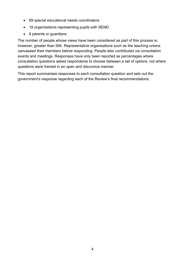- 69 special educational needs coordinators
- 18 organisations representing pupils with SEND
- 9 parents or guardians

The number of people whose views have been considered as part of this process is, however, greater than 594. Representative organisations such as the teaching unions canvassed their members before responding. People also contributed via consultation events and meetings. Responses have only been reported as percentages where consultation questions asked respondents to choose between a set of options, not where questions were framed in an open and discursive manner.

This report summarises responses to each consultation question and sets out the government's response regarding each of the Review's final recommendations.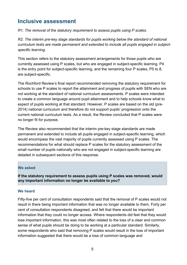# <span id="page-4-0"></span>**Inclusive assessment**

*R1. The removal of the statutory requirement to assess pupils using P scales.* 

*R2. The interim pre-key stage standards for pupils working below the standard of national curriculum tests are made permanent and extended to include all pupils engaged in subjectspecific learning.*

This section refers to the statutory assessment arrangements for those pupils who are currently assessed using P scales, but who are engaged in subject-specific learning. P4 is the entry point for subject-specific learning, and the remaining four P scales, P5 to 8, are subject-specific.

The Rochford Review's final report recommended removing the statutory requirement for schools to use P scales to report the attainment and progress of pupils with SEN who are not working at the standard of national curriculum assessments. P scales were intended to create a common language around pupil attainment and to help schools know what to expect of pupils working at that standard. However, P scales are based on the old (pre-2014) national curriculum and therefore do not support pupils' progression onto the current national curriculum tests. As a result, the Review concluded that P scales were no longer fit for purpose.

The Review also recommended that the interim pre-key stage standards are made permanent and extended to include all pupils engaged in subject-specific learning, which would encompass the vast majority of pupils currently assessed using P scales. The recommendations for what should replace P scales for the statutory assessment of the small number of pupils nationally who are not engaged in subject-specific learning are detailed in subsequent sections of this response.

# **We asked**

**If the statutory requirement to assess pupils using P scales was removed, would any important information no longer be available to you?**

# **We heard**

Fifty-five per cent of consultation respondents said that the removal of P scales would not result in there being important information that was no longer available to them. Forty per cent of consultation respondents disagreed, and felt that there would be important information that they could no longer access. Where respondents did feel that they would lose important information, this was most often related to the loss of a clear and common sense of what pupils should be doing to be working at a particular standard. Similarly, some respondents who said that removing P scales would result in the loss of important information suggested that there would be a loss of common language and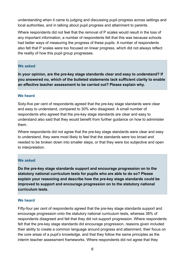understanding when it came to judging and discussing pupil progress across settings and local authorities, and in talking about pupil progress and attainment to parents.

Where respondents did not feel that the removal of P scales would result in the loss of any important information, a number of respondents felt that this was because schools had better ways of measuring the progress of these pupils. A number of respondents also felt that P scales were too focused on linear progress, which did not always reflect the reality of how this pupil group progresses.

# **We asked**

**In your opinion, are the pre-key stage standards clear and easy to understand? If you answered no, which of the bulleted statements lack sufficient clarity to enable an effective teacher assessment to be carried out? Please explain why.**

# **We heard**

Sixty-five per cent of respondents agreed that the pre-key stage standards were clear and easy to understand, compared to 30% who disagreed. A small number of respondents who agreed that the pre-key stage standards are clear and easy to understand also said that they would benefit from further guidance on how to administer them.

Where respondents did not agree that the pre-key stage standards were clear and easy to understand, they were most likely to feel that the standards were too broad and needed to be broken down into smaller steps, or that they were too subjective and open to interpretation.

# **We asked**

**Do the pre-key stage standards support and encourage progression on to the statutory national curriculum tests for pupils who are able to do so? Please explain your reasoning and describe how the pre-key stage standards could be improved to support and encourage progression on to the statutory national curriculum tests.**

#### **We heard**

Fifty-four per cent of respondents agreed that the pre-key stage standards support and encourage progression onto the statutory national curriculum tests, whereas 38% of respondents disagreed and felt that they did not support progression. Where respondents felt that the pre-key stage standards did encourage progression, reasons given included their ability to create a common language around progress and attainment, their focus on the core areas of a pupil's knowledge, and that they follow the same principles as the interim teacher assessment frameworks. Where respondents did not agree that they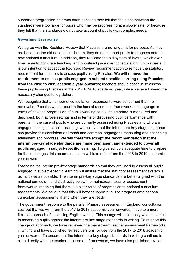supported progression, this was often because they felt that the steps between the standards were too large for pupils who may be progressing at a slower rate, or because they felt that the standards did not take account of pupils with complex needs.

# **Government response**

We agree with the Rochford Review that P scales are no longer fit for purpose. As they are based on the old national curriculum, they do not support pupils to progress onto the new national curriculum. In addition, they replicate the old system of levels, which over time came to dominate teaching, and prioritised pace over consolidation. On this basis, it is our intention to accept the Rochford Review recommendation to remove the statutory requirement for teachers to assess pupils using P scales. **We will remove the requirement to assess pupils engaged in subject-specific learning using P scales from the 2018 to 2019 academic year onwards**; teachers should continue to assess these pupils using P scales in the 2017 to 2018 academic year, while we take forward the necessary changes to legislation.

We recognise that a number of consultation respondents were concerned that the removal of P scales would result in the loss of a common framework and language in terms of how the progression of pupils working below the standard is measured and described, both across settings and in terms of discussing pupil performance with parents. In the case of pupils who are currently assessed using P scales and who are engaged in subject-specific learning, we believe that the interim pre-key stage standards can provide this consistent approach and common language to measuring and describing attainment and progress. **We will therefore accept the recommendation that the interim pre-key stage standards are made permanent and extended to cover all pupils engaged in subject-specific learning**. To give schools adequate time to prepare for these changes, this recommendation will take effect from the 2018 to 2019 academic year onwards.

Extending the interim pre-key stage standards so that they are used to assess all pupils engaged in subject-specific learning will ensure that the statutory assessment system is as inclusive as possible. The interim pre-key stage standards are better aligned with the national curriculum and sit directly below the mainstream teacher assessment frameworks, meaning that there is a clear route of progression to national curriculum assessments. We believe that this will better support pupils to progress onto national curriculum assessments, if and when they are ready.

The government response to the parallel 'Primary assessment in England' consultation sets out that we will, from the 2017 to 2018 academic year onwards, move to a more flexible approach of assessing English writing. This change will also apply when it comes to assessing pupils against the interim pre-key stage standards in writing. To support this change of approach, we have reviewed the mainstream teacher assessment frameworks in writing and have published revised versions for use from the 2017 to 2018 academic year onwards. To ensure that the interim pre-key stage standards in writing continue to align directly with the teacher assessment frameworks, we have also published revised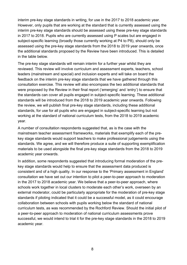interim pre-key stage standards in writing, for use in the 2017 to 2018 academic year. However, only pupils that are working at the standard that is currently assessed using the interim pre-key stage standards should be assessed using these pre-key stage standards in 2017 to 2018. Pupils who are currently assessed using P scales but are engaged in subject-specific learning (broadly those currently working at P4 to P8), should only be assessed using the pre-key stage standards from the 2018 to 2019 year onwards, once the additional standards proposed by the Review have been introduced. This is detailed in the table below.

The pre-key stage standards will remain interim for a further year whilst they are reviewed. This review will involve curriculum and assessment experts, teachers, school leaders (mainstream and special) and inclusion experts and will take on board the feedback on the interim pre-key stage standards that we have gathered through this consultation exercise. This review will also encompass the two additional standards that were proposed by the Review in their final report ('emerging' and 'entry') to ensure that the standards can cover all pupils engaged in subject-specific learning. These additional standards will be introduced from the 2018 to 2019 academic year onwards. Following the review, we will publish final pre-key stage standards, including these additional standards, for use for all pupils who are engaged in subject-specific learning but not working at the standard of national curriculum tests, from the 2018 to 2019 academic year.

A number of consultation respondents suggested that, as is the case with the mainstream teacher assessment frameworks, materials that exemplify each of the prekey stage standards would support teachers to make professional judgements using the standards. We agree, and we will therefore produce a suite of supporting exemplification materials to be used alongside the final pre-key stage standards from the 2018 to 2019 academic year onwards.

In addition, some respondents suggested that introducing formal moderation of the prekey stage standards would help to ensure that the assessment data produced is consistent and of a high quality. In our response to the 'Primary assessment in England' consultation we have set out our intention to pilot a peer-to-peer approach to moderation in the 2017 to 2018 academic year. We believe that a peer-to-peer approach, where schools work together in local clusters to moderate each other's work, overseen by an external moderator, could be particularly appropriate for the moderation of pre-key stage standards if piloting indicated that it could be a successful model, as it could encourage collaboration between schools with pupils working below the standard of national curriculum tests, as was recommended by the Rochford Review. Should the initial pilot of a peer-to-peer approach to moderation of national curriculum assessments prove successful, we would intend to trial it for the pre-key stage standards in the 2018 to 2019 academic year.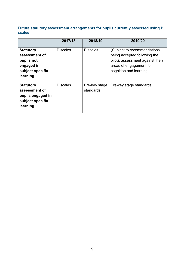# **Future statutory assessment arrangements for pupils currently assessed using P scales:**

|                                                                                               | 2017/18  | 2018/19                    | 2019/20                                                                                                                                               |
|-----------------------------------------------------------------------------------------------|----------|----------------------------|-------------------------------------------------------------------------------------------------------------------------------------------------------|
| <b>Statutory</b><br>assessment of<br>pupils not<br>engaged in<br>subject-specific<br>learning | P scales | P scales                   | (Subject to recommendations)<br>being accepted following the<br>pilot): assessment against the 7<br>areas of engagement for<br>cognition and learning |
| <b>Statutory</b><br>assessment of<br>pupils engaged in<br>subject-specific<br>learning        | P scales | Pre-key stage<br>standards | Pre-key stage standards                                                                                                                               |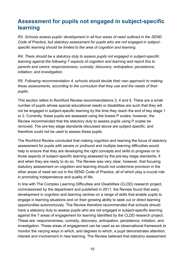# <span id="page-9-0"></span>**Assessment for pupils not engaged in subject-specific learning**

*R3. Schools assess pupils' development in all four areas of need outlined in the SEND Code of Practice, but statutory assessment for pupils who are not engaged in subjectspecific learning should be limited to the area of cognition and learning.* 

*R4. There should be a statutory duty to assess pupils not engaged in subject-specific learning against the following 7 aspects of cognition and learning and report this to parents and carers: responsiveness; curiosity; discovery; anticipation; persistence; initiation; and investigation.*

*R5. Following recommendation 4, schools should decide their own approach to making these assessments, according to the curriculum that they use and the needs of their pupils.*

This section refers to Rochford Review recommendations 3, 4 and 5. There are a small number of pupils whose special educational needs or disabilities are such that they will not be engaged in subject-specific learning by the time they reach the end of key stage 1 or 2. Currently, these pupils are assessed using the lowest P scales; however, the Review recommended that the statutory duty to assess pupils using P scales be removed. The pre-key stage standards discussed above are subject-specific, and therefore could not be used to assess these pupils.

The Rochford Review concluded that making cognition and learning the focus of statutory assessment for pupils with severe or profound and multiple learning difficulties would help to ensure that they are developing the right concepts and skills to progress on to those aspects of subject-specific learning assessed by the pre-key stage standards, if and when they are ready to do so. The Review was very clear, however, that focusing statutory assessment on cognition and learning should not undermine provision in the other areas of need set out in the SEND Code of Practice, all of which play a crucial role in promoting independence and quality of life.

In line with The Complex Learning Difficulties and Disabilities (CLDD) research project, commissioned by the department and published in 2011, the Review found that early development in cognition and learning centres on a range of skills that enable pupils to engage in learning situations and on their growing ability to seek out or direct learning opportunities autonomously. The Review therefore recommended that schools should have a statutory duty to assess pupils who are not engaged in subject-specific learning against the 7 areas of engagement for learning identified by the CLDD research project. These are: responsiveness, curiosity, discovery, anticipation, persistence, initiation, and investigation. These areas of engagement can be used as an observational framework to monitor the varying ways in which, and degrees to which, a pupil demonstrates attention, interest and involvement in new learning. The Review believed that statutory assessment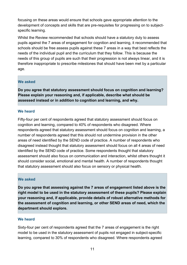focusing on these areas would ensure that schools gave appropriate attention to the development of concepts and skills that are pre-requisites for progressing on to subjectspecific learning.

Whilst the Review recommended that schools should have a statutory duty to assess pupils against the 7 areas of engagement for cognition and learning, it recommended that schools should be free assess pupils against these 7 areas in a way that best reflects the needs of the individual pupil and the curriculum that they follow. This is because the needs of this group of pupils are such that their progression is not always linear, and it is therefore inappropriate to prescribe milestones that should have been met by a particular age.

# **We asked**

**Do you agree that statutory assessment should focus on cognition and learning? Please explain your reasoning and, if applicable, describe what should be assessed instead or in addition to cognition and learning, and why.**

# **We heard**

Fifty-four per cent of respondents agreed that statutory assessment should focus on cognition and learning, compared to 40% of respondents who disagreed. Where respondents agreed that statutory assessment should focus on cognition and learning, a number of respondents agreed that this should not undermine provision in the other areas of need identified by the SEND code of practice. A number of respondents who disagreed instead thought that statutory assessment should focus on all 4 areas of need identified by the SEND code of practice. Some respondents thought that statutory assessment should also focus on communication and interaction, whilst others thought it should consider social, emotional and mental health. A number of respondents thought that statutory assessment should also focus on sensory or physical health.

# **We asked**

**Do you agree that assessing against the 7 areas of engagement listed above is the right model to be used in the statutory assessment of these pupils? Please explain your reasoning and, if applicable, provide details of robust alternative methods for the assessment of cognition and learning, or other SEND areas of need, which the department should explore.**

# **We heard**

Sixty-four per cent of respondents agreed that the 7 areas of engagement is the right model to be used in the statutory assessment of pupils not engaged in subject-specific learning, compared to 30% of respondents who disagreed. Where respondents agreed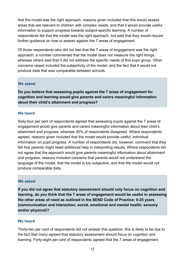that the model was the right approach, reasons given included that this would assess areas that are relevant to children with complex needs, and that it would provide useful information to support progress towards subject-specific learning. A number of respondents felt that the model was the right approach, but said that they would require further guidance on how to assess against the 7 areas of engagement.

Of those respondents who did not feel that the 7 areas of engagement was the right approach, a number commented that the model does not measure the right things, whereas others said that it did not address the specific needs of this pupil group. Other concerns raised included the subjectivity of the model, and the fact that it would not produce data that was comparable between schools.

# **We asked**

**Do you believe that assessing pupils against the 7 areas of engagement for cognition and learning would give parents and carers meaningful information about their child's attainment and progress?** 

# **We heard**

Sixty-four per cent of respondents agreed that assessing pupils against the 7 areas of engagement would give parents and carers meaningful information about their child's attainment and progress, whereas 30% of respondents disagreed. Where respondents agreed, reasons given included that the model would provide useful, individual information on pupil progress. A number of respondents did, however, comment that they felt that parents might need additional help in interpreting results. Where respondents did not agree that the approach would give parents meaningful information about attainment and progress, reasons included concerns that parents would not understand the language of the model, that the model is too subjective, and that the model would not produce comparable data.

# **We asked**

**If you did not agree that statutory assessment should only focus on cognition and learning, do you think that the 7 areas of engagement would be useful in assessing the other areas of need as outlined in the SEND Code of Practice: 0-25 years (communication and interaction; social, emotional and mental health; sensory and/or physical)?**

# **We heard**

Thirty-two per cent of respondents did not answer this question, this is likely to be due to the fact that many agreed that statutory assessment should focus on cognition and learning. Forty-eight per cent of respondents agreed that the 7 areas of engagement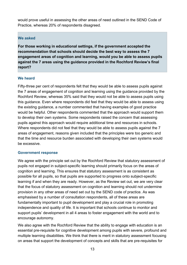would prove useful in assessing the other areas of need outlined in the SEND Code of Practice, whereas 20% of respondents disagreed.

# **We asked**

**For those working in educational settings, if the government accepted the recommendation that schools should decide the best way to assess the 7 engagement areas of cognition and learning, would you be able to assess pupils against the 7 areas using the guidance provided in the Rochford Review's final report?**

# **We heard**

Fifty-three per cent of respondents felt that they would be able to assess pupils against the 7 areas of engagement of cognition and learning using the guidance provided by the Rochford Review, whereas 35% said that they would not be able to assess pupils using this guidance. Even where respondents did feel that they would be able to assess using the existing guidance, a number commented that having examples of good practice would be helpful. Other respondents commented that the approach would support them to develop their own systems. Some respondents raised the concern that assessing pupils against this approach would require additional time and resources in schools. Where respondents did not feel that they would be able to assess pupils against the 7 areas of engagement, reasons given included that the principles were too generic and that the time and resource burden associated with developing their own systems would be excessive.

# **Government response**

We agree with the principle set out by the Rochford Review that statutory assessment of pupils not engaged in subject-specific learning should primarily focus on the areas of cognition and learning. This ensures that statutory assessment is as consistent as possible for all pupils, so that pupils are supported to progress onto subject-specific learning if and when they are ready. However, as the Review set out, we are very clear that the focus of statutory assessment on cognition and learning should not undermine provision in any other areas of need set out by the SEND code of practice. As was emphasised by a number of consultation respondents, all of these areas are fundamentally important to pupil development and play a crucial role in promoting independence and quality of life. It is important that schools continue to monitor and support pupils' development in all 4 areas to foster engagement with the world and to encourage autonomy.

We also agree with the Rochford Review that the ability to engage with education is an essential pre-requisite for cognitive development among pupils with severe, profound and multiple learning disabilities. We think that there is merit in statutory assessment focusing on areas that support the development of concepts and skills that are pre-requisites for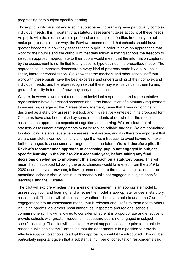progressing onto subject-specific learning.

Those pupils who are not engaged in subject-specific learning have particularly complex, individual needs. It is important that statutory assessment takes account of these needs. As pupils with the most severe or profound and multiple difficulties frequently do not make progress in a linear way, the Review recommended that schools should have greater freedoms in how they assess these pupils, in order to develop approaches that work for their pupils and the curriculum that they follow. Allowing schools the freedom to select an approach appropriate to their pupils would mean that the information captured by the assessment is not limited to any specific type outlined in a prescribed model. The approach could therefore demonstrate every kind of progress made by a pupil, be it linear, lateral or consolidation. We know that the teachers and other school staff that work with these pupils have the best expertise and understanding of their complex and individual needs, and therefore recognise that there may well be value in them having greater flexibility in terms of how they carry out assessment.

We are, however, aware that a number of individual respondents and representative organisations have expressed concerns about the introduction of a statutory requirement to assess pupils against the 7 areas of engagement, given that it was not originally designed as a statutory assessment tool, and it is relatively untested in its proposed form. Concerns have also been raised by some respondents about whether the model assesses the appropriate aspects of cognition and learning. We are clear that all statutory assessment arrangements must be robust, reliable and fair. We are committed to introducing a stable, sustainable assessment system, and it is therefore important that we are completely confident in any change that we introduce, to avoid having to make further changes to assessment arrangements in the future. **We will therefore pilot the Review's recommended approach to assessing pupils not engaged in subjectspecific learning in the 2017 to 2018 academic year, before taking any final decisions on whether to implement this approach on a statutory basis**. This will mean that, if accepted following the pilot, changes would take effect from the 2019 to 2020 academic year onwards, following amendment to the relevant legislation. In the meantime, schools should continue to assess pupils not engaged in subject-specific learning using the P scales.

The pilot will explore whether the 7 areas of engagement is an appropriate model to assess cognition and learning, and whether the model is appropriate for use in statutory assessment. The pilot will also consider whether schools are able to adapt the 7 areas of engagement into an assessment model that is relevant and useful to them and to others, including parents, governors, local authorities, inspectors and regional schools commissioners. This will allow us to consider whether it is proportionate and effective to provide schools with greater freedoms in assessing pupils not engaged in subjectspecific learning. The pilot will also explore what support schools require to be able to assess pupils against the 7 areas, so that the department is in a position to provide effective support to schools to adopt this approach, should it be introduced. This will be particularly important given that a substantial number of consultation respondents said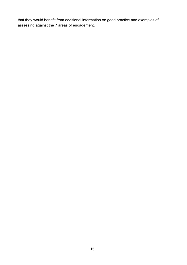that they would benefit from additional information on good practice and examples of assessing against the 7 areas of engagement.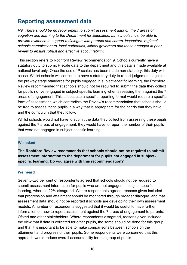# <span id="page-15-0"></span>**Reporting assessment data**

*R9. There should be no requirement to submit assessment data on the 7 areas of cognition and learning to the Department for Education, but schools must be able to provide evidence to support a dialogue with parents and carers, inspectors, regional schools commissioners, local authorities, school governors and those engaged in peer review to ensure robust and effective accountability.*

This section refers to Rochford Review recommendation 9. Schools currently have a statutory duty to submit P scale data to the department and this data is made available at national level only. Once the use of P scales has been made non-statutory, this duty will cease. Whilst schools will continue to have a statutory duty to report judgements against the pre-key stage standards for pupils engaged in subject-specific learning, the Rochford Review recommended that schools should not be required to submit the data they collect for pupils not yet engaged in subject-specific learning when assessing them against the 7 areas of engagement. This is because a specific reporting format would require a specific form of assessment, which contradicts the Review's recommendation that schools should be free to assess these pupils in a way that is appropriate for the needs that they have and the curriculum that they follow.

Whilst schools would not have to submit the data they collect from assessing these pupils against the 7 areas of engagement, they would have to report the number of their pupils that were not engaged in subject-specific learning.

# **We asked**

**The Rochford Review recommends that schools should not be required to submit assessment information to the department for pupils not engaged in subjectspecific learning. Do you agree with this recommendation?** 

# **We heard**

Seventy-two per cent of respondents agreed that schools should not be required to submit assessment information for pupils who are not engaged in subject-specific learning, whereas 22% disagreed. Where respondents agreed, reasons given included that progression and attainment should be monitored through broader dialogue, and that assessment data should not be reported if schools are developing their own assessment models. A number of respondents suggested that it would be useful to have further information on how to report assessment against the 7 areas of engagement to parents, Ofsted and other stakeholders. Where respondents disagreed, reasons given included the view that if data is collected for other pupils, the same should be done for this group, and that it is important to be able to make comparisons between schools on the attainment and progress of their pupils. Some respondents were concerned that this approach would reduce overall accountability for this group of pupils.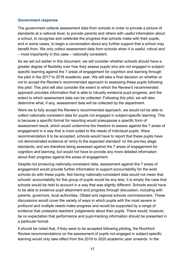#### **Government response**

The government collects assessment data from schools in order to provide a picture of standards at a national level, to provide parents and others with useful information about a school, to recognise and celebrate the progress that schools make with their pupils, and in some cases, to begin a conversation about any further support that a school may benefit from. We only collect assessment data from schools when it is useful, robust and – most importantly in this case – nationally consistent.

As we set out earlier in this document, we will consider whether schools should have a greater degree of flexibility over how they assess pupils who are not engaged in subjectspecific learning against the 7 areas of engagement for cognition and learning through the pilot in the 2017 to 2018 academic year. We will take a final decision on whether or not to accept the Review's recommended approach to assessing these pupils following this pilot. This pilot will also consider the extent to which the Review's recommended approach provides information that is able to robustly evidence pupil progress, and the extent to which assessment data can be collected. Following this pilot, we will also determine what, if any, assessment data will be collected by the department.

Were we to fully accept the Review's recommended approach, we would not be able to collect nationally-consistent data for pupils not engaged in subject-specific learning. This is because a specific format for reporting would presuppose a specific form of assessment result, which would undermine the freedom to assess against the 7 areas of engagement in a way that is most suited to the needs of individual pupils. Were recommendation 9 to be accepted, schools would have to report that these pupils have not demonstrated evidence at 'entry to the expected standard' on the pre-key stage standards, and are therefore being assessed against the 7 areas of engagement for cognition and learning, but would not have to provide any more detailed information about their progress against the areas of engagement.

Despite not producing nationally-consistent data, assessment against the 7 areas of engagement would provide further information to support accountability for the work schools do with these pupils. Not having nationally-consistent data would not mean that schools' accountability for this group of pupils would be any less; it is simply the case that schools would be held to account in a way that was slightly different. Schools would have to be able to evidence pupil attainment and progress through discussion, including with parents, governors, local authorities, Ofsted and regional schools commissioners. These discussions would cover the variety of ways in which pupils with the most severe or profound and multiple needs make progress and would be supported by a range of evidence that underpins teachers' judgements about their pupils. There would, however, be no expectation that performance and pupil-tracking information should be presented in a particular format.

It should be noted that, if they were to be accepted following piloting, the Rochford Review recommendations on the assessment of pupils not engaged in subject-specific learning would only take effect from the 2019 to 2020 academic year onwards. In the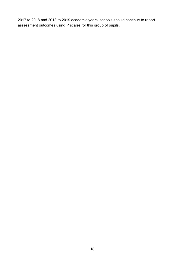2017 to 2018 and 2018 to 2019 academic years, schools should continue to report assessment outcomes using P scales for this group of pupils.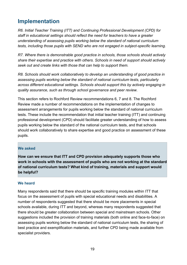# <span id="page-18-0"></span>**Implementation**

*R6. Initial Teacher Training (ITT) and Continuing Professional Development (CPD) for staff in educational settings should reflect the need for teachers to have a greater understanding of assessing pupils working below the standard of national curriculum tests, including those pupils with SEND who are not engaged in subject-specific learning.* 

*R7. Where there is demonstrable good practice in schools, those schools should actively share their expertise and practice with others. Schools in need of support should actively seek out and create links with those that can help to support them.*

*R8. Schools should work collaboratively to develop an understanding of good practice in assessing pupils working below the standard of national curriculum tests, particularly across different educational settings. Schools should support this by actively engaging in quality assurance, such as through school governance and peer review.* 

This section refers to Rochford Review recommendations 6, 7 and 8. The Rochford Review made a number of recommendations on the implementation of changes to assessment arrangements for pupils working below the standard of national curriculum tests. These include the recommendation that initial teacher training (ITT) and continuing professional development (CPD) should facilitate greater understanding of how to assess pupils working below the standard of the national curriculum tests, and that schools should work collaboratively to share expertise and good practice on assessment of these pupils.

# **We asked**

**How can we ensure that ITT and CPD provision adequately supports those who work in schools with the assessment of pupils who are not working at the standard of national curriculum tests? What kind of training, materials and support would be helpful?**

# **We heard**

Many respondents said that there should be specific training modules within ITT that focus on the assessment of pupils with special educational needs and disabilities. A number of respondents suggested that there should be more placements in special schools available, during ITT and beyond, whereas many respondents suggested that there should be greater collaboration between special and mainstream schools. Other suggestions included the provision of training materials (both online and face-to-face) on assessing pupils working below the standard of national curriculum tests, the sharing of best practice and exemplification materials, and further CPD being made available from specialist providers.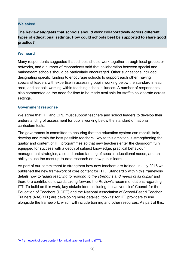### **We asked**

**The Review suggests that schools should work collaboratively across different types of educational settings. How could schools best be supported to share good practice?**

#### **We heard**

 $\overline{a}$ 

Many respondents suggested that schools should work together through local groups or networks, and a number of respondents said that collaboration between special and mainstream schools should be particularly encouraged. Other suggestions included designating specific funding to encourage schools to support each other, having specialist leaders with expertise in assessing pupils working below the standard in each area, and schools working within teaching school alliances. A number of respondents also commented on the need for time to be made available for staff to collaborate across settings.

#### **Government response**

We agree that ITT and CPD must support teachers and school leaders to develop their understanding of assessment for pupils working below the standard of national curriculum tests.

The government is committed to ensuring that the education system can recruit, train, develop and retain the best possible teachers. Key to this ambition is strengthening the quality and content of ITT programmes so that new teachers enter the classroom fully equipped for success with a depth of subject knowledge, practical behaviour management strategies, a sound understanding of special educational needs, and an ability to use the most up-to-date research on how pupils learn.

As part of our commitment to strengthen how new teachers are trained, in July 2016 we published the new framework of core content for ITT.<sup>[1](#page-19-0)</sup> Standard 5 within this framework details how to '*adapt teaching to respond to the strengths and needs of all pupils'* and therefore contributes towards taking forward the Review's recommendations regarding ITT. To build on this work, key stakeholders including the Universities' Council for the Education of Teachers (UCET) and the National Association of School-Based Teacher Trainers (NASBTT) are developing more detailed 'toolkits' for ITT providers to use alongside the framework, which will include training and other resources. As part of this,

<span id="page-19-0"></span><sup>&</sup>lt;sup>1</sup>A framework of core content for initial teacher training (ITT).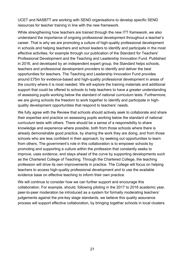UCET and NASBTT are working with SEND organisations to develop specific SEND resources for teacher training in line with the new framework.

While strengthening how teachers are trained through the new ITT framework, we also understand the importance of ongoing professional development throughout a teacher's career. That is why we are promoting a culture of high-quality professional development in schools and helping teachers and school leaders to identify and participate in the most effective activities, for example through our publication of the Standard for Teachers' Professional Development and the Teaching and Leadership Innovation Fund. Published in 2016, and developed by an independent expert group, the Standard helps schools, teachers and professional development providers to identify and deliver the best opportunities for teachers. The Teaching and Leadership Innovation Fund provides around £75m for evidence-based and high-quality professional development in areas of the country where it is most needed. We will explore the training materials and additional support that could be offered to schools to help teachers to have a greater understanding of assessing pupils working below the standard of national curriculum tests. Furthermore, we are giving schools the freedom to work together to identify and participate in highquality development opportunities that respond to teachers' needs.

We fully agree with the Review that schools should actively seek to collaborate and share their expertise and practice on assessing pupils working below the standard of national curriculum tests with others. There should be a sense of a responsibility to share knowledge and experience where possible, both from those schools where there is already demonstrable good practice, by sharing the work they are doing, and from those schools who are less confident in their approach, by seeking out opportunities to learn from others. The government's role in this collaboration is to empower schools by promoting and supporting a culture within the profession that constantly seeks to improve, uses evidence, and stays ahead of the curve by supporting developments such as the Chartered College of Teaching. Through the Chartered College, the teaching profession will drive its own improvements in practice. The College will focus on helping teachers to access high-quality professional development and to use the available evidence base on effective teaching to inform their own practice.

We will continue to consider how we can further support and encourage this collaboration. For example, should, following piloting in the 2017 to 2018 academic year, peer-to-peer moderation be introduced as a system for formally moderating teachers' judgements against the pre-key stage standards, we believe this quality assurance process will support effective collaboration, by bringing together schools in local clusters.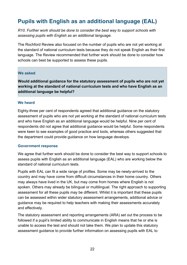# <span id="page-21-0"></span>**Pupils with English as an additional language (EAL)**

*R10. Further work should be done to consider the best way to support schools with assessing pupils with English as an additional language.*

The Rochford Review also focused on the number of pupils who are not yet working at the standard of national curriculum tests because they do not speak English as their first language. The Review recommended that further work should be done to consider how schools can best be supported to assess these pupils.

# **We asked**

**Would additional guidance for the statutory assessment of pupils who are not yet working at the standard of national curriculum tests and who have English as an additional language be helpful?**

# **We heard**

Eighty-three per cent of respondents agreed that additional guidance on the statutory assessment of pupils who are not yet working at the standard of national curriculum tests and who have English as an additional language would be helpful. Nine per cent of respondents did not agree that additional guidance would be helpful. Some respondents were keen to see examples of good practice and tools, whereas others suggested that the department could provide guidance on how language develops.

# **Government response**

We agree that further work should be done to consider the best way to support schools to assess pupils with English as an additional language (EAL) who are working below the standard of national curriculum tests.

Pupils with EAL can fit a wide range of profiles. Some may be newly-arrived to the country and may have come from difficult circumstances in their home country. Others may always have lived in the UK, but may come from homes where English is not spoken. Others may already be bilingual or multilingual. The right approach to supporting assessment for all these pupils may be different. Whilst it is important that these pupils can be assessed within wider statutory assessment arrangements, additional advice or guidance may be required to help teachers with making their assessments accurately and effectively.

The statutory assessment and reporting arrangements (ARA) set out the process to be followed if a pupil's limited ability to communicate in English means that he or she is unable to access the test and should not take them. We plan to update this statutory assessment guidance to provide further information on assessing pupils with EAL to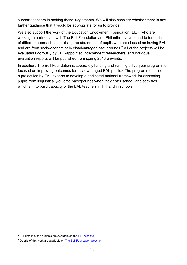support teachers in making these judgements. We will also consider whether there is any further guidance that it would be appropriate for us to provide.

We also support the work of the Education Endowment Foundation (EEF) who are working in partnership with The Bell Foundation and Philanthropy Unbound to fund trials of different approaches to raising the attainment of pupils who are classed as having EAL and are from socio-economically disadvantaged backgrounds. [2](#page-22-0) All of the projects will be evaluated rigorously by EEF-appointed independent researchers, and individual evaluation reports will be published from spring 2018 onwards.

In addition, The Bell Foundation is separately funding and running a five-year programme focused on improving outcomes for disadvantaged EAL pupils.<sup>[3](#page-22-1)</sup> The programme includes a project led by EAL experts to develop a dedicated national framework for assessing pupils from linguistically-diverse backgrounds when they enter school, and activities which aim to build capacity of the EAL teachers in ITT and in schools.

 $\overline{a}$ 

<span id="page-22-0"></span><sup>2</sup> Full details of the projects are available on th[e EEF website.](https://educationendowmentfoundation.org.uk/)

<span id="page-22-1"></span><sup>&</sup>lt;sup>3</sup> Details of this work are available on [The Bell Foundation website.](https://www.bell-foundation.org.uk/)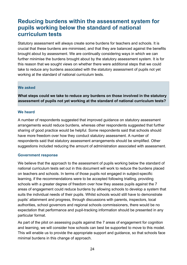# <span id="page-23-0"></span>**Reducing burdens within the assessment system for pupils working below the standard of national curriculum tests**

Statutory assessment will always create some burdens for teachers and schools. It is crucial that these burdens are minimised, and that they are balanced against the benefits brought about by assessment. We are continually considering ways in which we can further minimise the burdens brought about by the statutory assessment system. It is for this reason that we sought views on whether there were additional steps that we could take to reduce any burdens associated with the statutory assessment of pupils not yet working at the standard of national curriculum tests.

#### **We asked**

**What steps could we take to reduce any burdens on those involved in the statutory assessment of pupils not yet working at the standard of national curriculum tests?** 

# **We heard**

A number of respondents suggested that improved guidance on statutory assessment arrangements would reduce burdens, whereas other respondents suggested that further sharing of good practice would be helpful. Some respondents said that schools should have more freedom over how they conduct statutory assessment. A number of respondents said that statutory assessment arrangements should be simplified. Other suggestions included reducing the amount of administration associated with assessment.

#### **Government response**

We believe that the approach to the assessment of pupils working below the standard of national curriculum tests set out in this document will work to reduce the burdens placed on teachers and schools. In terms of those pupils not engaged in subject-specific learning, if the recommendations were to be accepted following trialling, providing schools with a greater degree of freedom over how they assess pupils against the 7 areas of engagement could reduce burdens by allowing schools to develop a system that suits the individual needs of their pupils. Whilst schools would still have to demonstrate pupils' attainment and progress, through discussions with parents, inspectors, local authorities, school governors and regional schools commissioners, there would be no expectation that performance and pupil-tracking information should be presented in any particular format.

As part of the pilot on assessing pupils against the 7 areas of engagement for cognition and learning, we will consider how schools can best be supported to move to this model. This will enable us to provide the appropriate support and guidance, so that schools face minimal burdens in this change of approach.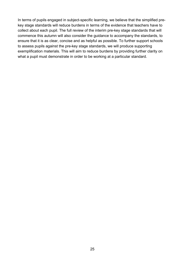In terms of pupils engaged in subject-specific learning, we believe that the simplified prekey stage standards will reduce burdens in terms of the evidence that teachers have to collect about each pupil. The full review of the interim pre-key stage standards that will commence this autumn will also consider the guidance to accompany the standards, to ensure that it is as clear, concise and as helpful as possible. To further support schools to assess pupils against the pre-key stage standards, we will produce supporting exemplification materials. This will aim to reduce burdens by providing further clarity on what a pupil must demonstrate in order to be working at a particular standard.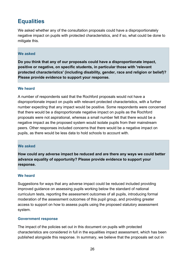# <span id="page-25-0"></span>**Equalities**

We asked whether any of the consultation proposals could have a disproportionately negative impact on pupils with protected characteristics, and if so, what could be done to mitigate this.

# **We asked**

**Do you think that any of our proposals could have a disproportionate impact, positive or negative, on specific students, in particular those with 'relevant protected characteristics' (including disability, gender, race and religion or belief)? Please provide evidence to support your response.**

# **We heard**

A number of respondents said that the Rochford proposals would not have a disproportionate impact on pupils with relevant protected characteristics, with a further number expecting that any impact would be positive. Some respondents were concerned that there would be a disproportionate negative impact on pupils as the Rochford proposals were not aspirational, whereas a small number felt that there would be a negative impact as the proposed system would isolate pupils from their mainstream peers. Other responses included concerns that there would be a negative impact on pupils, as there would be less data to hold schools to account with.

# **We asked**

**How could any adverse impact be reduced and are there any ways we could better advance equality of opportunity? Please provide evidence to support your response.**

# **We heard**

Suggestions for ways that any adverse impact could be reduced included providing improved guidance on assessing pupils working below the standard of national curriculum tests, reporting the assessment outcomes of all pupils, introducing formal moderation of the assessment outcomes of this pupil group, and providing greater access to support on how to assess pupils using the proposed statutory assessment system.

# **Government response**

The impact of the policies set out in this document on pupils with protected characteristics are considered in full in the equalities impact assessment, which has been published alongside this response. In summary, we believe that the proposals set out in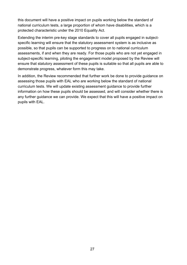this document will have a positive impact on pupils working below the standard of national curriculum tests, a large proportion of whom have disabilities, which is a protected characteristic under the 2010 Equality Act.

Extending the interim pre-key stage standards to cover all pupils engaged in subjectspecific learning will ensure that the statutory assessment system is as inclusive as possible, so that pupils can be supported to progress on to national curriculum assessments, if and when they are ready. For those pupils who are not yet engaged in subject-specific learning, piloting the engagement model proposed by the Review will ensure that statutory assessment of these pupils is suitable so that all pupils are able to demonstrate progress, whatever form this may take.

In addition, the Review recommended that further work be done to provide guidance on assessing those pupils with EAL who are working below the standard of national curriculum tests. We will update existing assessment guidance to provide further information on how these pupils should be assessed, and will consider whether there is any further guidance we can provide. We expect that this will have a positive impact on pupils with EAL.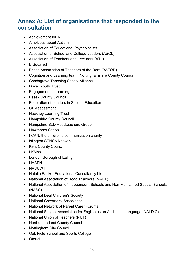# <span id="page-27-0"></span>**Annex A: List of organisations that responded to the consultation**

- Achievement for All
- Ambitious about Autism
- Association of Educational Psychologists
- Association of School and College Leaders (ASCL)
- Association of Teachers and Lecturers (ATL)
- B Squared
- British Association of Teachers of the Deaf (BATOD)
- Cognition and Learning team, Nottinghamshire County Council
- Chadsgrove Teaching School Alliance
- Driver Youth Trust
- Engagement 4 Learning
- Essex County Council
- Federation of Leaders in Special Education
- GL Assessment
- Hackney Learning Trust
- Hampshire County Council
- Hampshire SLD Headteachers Group
- Hawthorns School
- I CAN, the children's communication charity
- Islington SENCo Network
- Kent County Council
- LKMco
- London Borough of Ealing
- NASEN
- NASUWT
- Natalie Packer Educational Consultancy Ltd
- National Association of Head Teachers (NAHT)
- National Association of Independent Schools and Non-Maintained Special Schools (NASS)
- National Deaf Children's Society
- National Governors' Association
- National Network of Parent Carer Forums
- National Subject Association for English as an Additional Language (NALDIC)
- National Union of Teachers (NUT)
- Northumberland County Council
- Nottingham City Council
- Oak Field School and Sports College
- Ofqual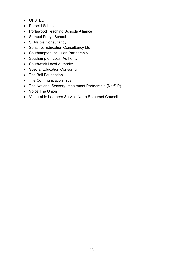- OFSTED
- Perseid School
- Portswood Teaching Schools Alliance
- Samuel Pepys School
- SENsible Consultancy
- Sensitive Education Consultancy Ltd
- Southampton Inclusion Partnership
- Southampton Local Authority
- Southwark Local Authority
- Special Education Consortium
- The Bell Foundation
- The Communication Trust
- The National Sensory Impairment Partnership (NatSIP)
- Voice The Union
- Vulnerable Learners Service North Somerset Council